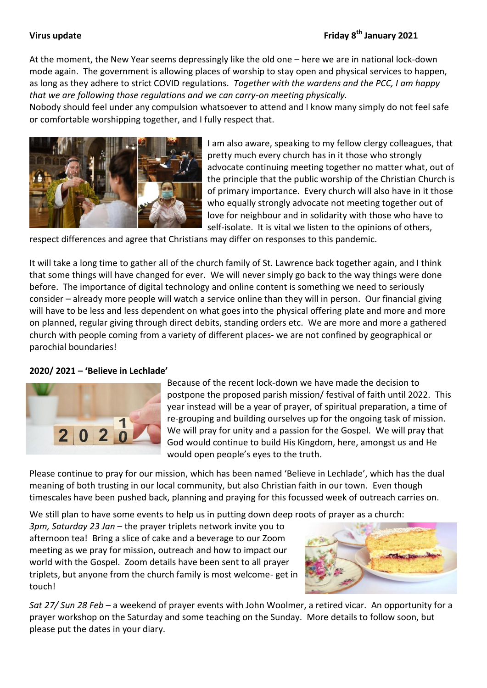At the moment, the New Year seems depressingly like the old one – here we are in national lock-down mode again. The government is allowing places of worship to stay open and physical services to happen, as long as they adhere to strict COVID regulations. *Together with the wardens and the PCC, I am happy that we are following those regulations and we can carry-on meeting physically.*

Nobody should feel under any compulsion whatsoever to attend and I know many simply do not feel safe or comfortable worshipping together, and I fully respect that.



I am also aware, speaking to my fellow clergy colleagues, that pretty much every church has in it those who strongly advocate continuing meeting together no matter what, out of the principle that the public worship of the Christian Church is of primary importance. Every church will also have in it those who equally strongly advocate not meeting together out of love for neighbour and in solidarity with those who have to self-isolate. It is vital we listen to the opinions of others,

respect differences and agree that Christians may differ on responses to this pandemic.

It will take a long time to gather all of the church family of St. Lawrence back together again, and I think that some things will have changed for ever. We will never simply go back to the way things were done before. The importance of digital technology and online content is something we need to seriously consider – already more people will watch a service online than they will in person. Our financial giving will have to be less and less dependent on what goes into the physical offering plate and more and more on planned, regular giving through direct debits, standing orders etc. We are more and more a gathered church with people coming from a variety of different places- we are not confined by geographical or parochial boundaries!

## **2020/ 2021 – 'Believe in Lechlade'**



Because of the recent lock-down we have made the decision to postpone the proposed parish mission/ festival of faith until 2022. This year instead will be a year of prayer, of spiritual preparation, a time of re-grouping and building ourselves up for the ongoing task of mission. We will pray for unity and a passion for the Gospel. We will pray that God would continue to build His Kingdom, here, amongst us and He would open people's eyes to the truth.

Please continue to pray for our mission, which has been named 'Believe in Lechlade', which has the dual meaning of both trusting in our local community, but also Christian faith in our town. Even though timescales have been pushed back, planning and praying for this focussed week of outreach carries on.

We still plan to have some events to help us in putting down deep roots of prayer as a church:

*3pm, Saturday 23 Jan* – the prayer triplets network invite you to afternoon tea! Bring a slice of cake and a beverage to our Zoom meeting as we pray for mission, outreach and how to impact our world with the Gospel. Zoom details have been sent to all prayer triplets, but anyone from the church family is most welcome- get in touch!



*Sat 27/ Sun 28 Feb* – a weekend of prayer events with John Woolmer, a retired vicar. An opportunity for a prayer workshop on the Saturday and some teaching on the Sunday. More details to follow soon, but please put the dates in your diary.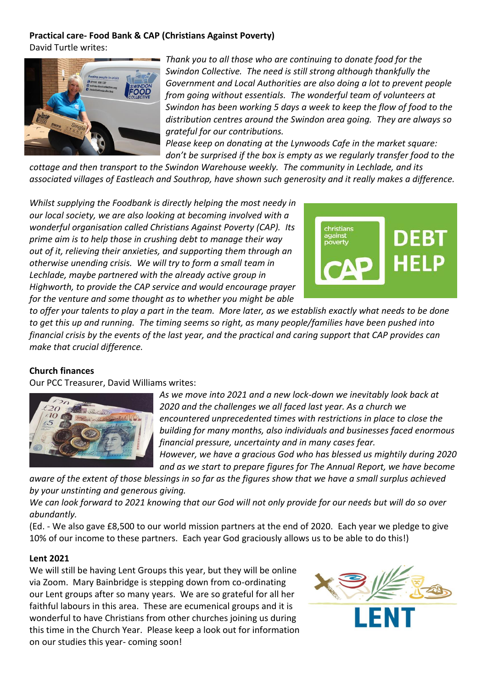# **Practical care- Food Bank & CAP (Christians Against Poverty)**

David Turtle writes:



*Thank you to all those who are continuing to donate food for the Swindon Collective. The need is still strong although thankfully the Government and Local Authorities are also doing a lot to prevent people from going without essentials. The wonderful team of volunteers at Swindon has been working 5 days a week to keep the flow of food to the distribution centres around the Swindon area going. They are always so grateful for our contributions.*

*Please keep on donating at the Lynwoods Cafe in the market square: don't be surprised if the box is empty as we regularly transfer food to the* 

*cottage and then transport to the Swindon Warehouse weekly. The community in Lechlade, and its associated villages of Eastleach and Southrop, have shown such generosity and it really makes a difference.*

*Whilst supplying the Foodbank is directly helping the most needy in our local society, we are also looking at becoming involved with a wonderful organisation called Christians Against Poverty (CAP). Its prime aim is to help those in crushing debt to manage their way out of it, relieving their anxieties, and supporting them through an otherwise unending crisis. We will try to form a small team in Lechlade, maybe partnered with the already active group in Highworth, to provide the CAP service and would encourage prayer for the venture and some thought as to whether you might be able* 



*to offer your talents to play a part in the team. More later, as we establish exactly what needs to be done to get this up and running. The timing seems so right, as many people/families have been pushed into financial crisis by the events of the last year, and the practical and caring support that CAP provides can make that crucial difference.*

# **Church finances**

Our PCC Treasurer, David Williams writes:



*As we move into 2021 and a new lock-down we inevitably look back at 2020 and the challenges we all faced last year. As a church we encountered unprecedented times with restrictions in place to close the building for many months, also individuals and businesses faced enormous financial pressure, uncertainty and in many cases fear. However, we have a gracious God who has blessed us mightily during 2020* 

*and as we start to prepare figures for The Annual Report, we have become* 

*aware of the extent of those blessings in so far as the figures show that we have a small surplus achieved by your unstinting and generous giving.* 

*We can look forward to 2021 knowing that our God will not only provide for our needs but will do so over abundantly.*

(Ed. - We also gave £8,500 to our world mission partners at the end of 2020. Each year we pledge to give 10% of our income to these partners. Each year God graciously allows us to be able to do this!)

# **Lent 2021**

We will still be having Lent Groups this year, but they will be online via Zoom. Mary Bainbridge is stepping down from co-ordinating our Lent groups after so many years. We are so grateful for all her faithful labours in this area. These are ecumenical groups and it is wonderful to have Christians from other churches joining us during this time in the Church Year. Please keep a look out for information on our studies this year- coming soon!